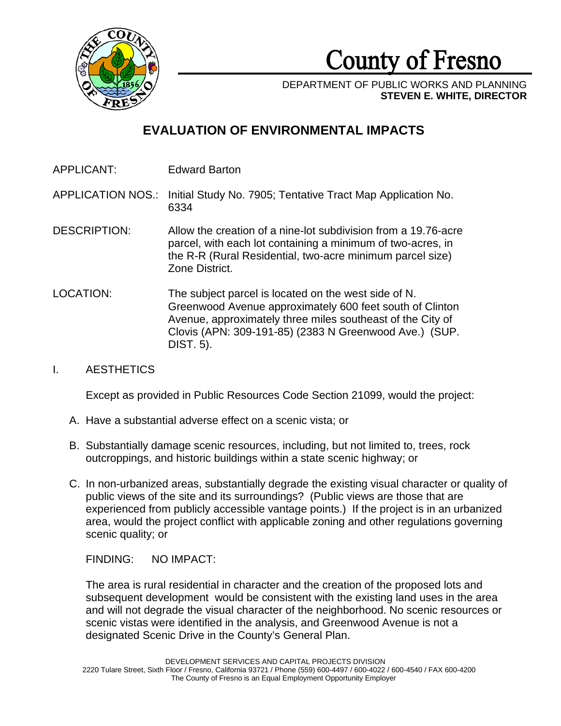

**County of Fresno** 

DEPARTMENT OF PUBLIC WORKS AND PLANNING **STEVEN E. WHITE, DIRECTOR**

# **EVALUATION OF ENVIRONMENTAL IMPACTS**

APPLICANT: Edward Barton

APPLICATION NOS.: Initial Study No. 7905; Tentative Tract Map Application No. 6334

- DESCRIPTION: Allow the creation of a nine-lot subdivision from a 19.76-acre parcel, with each lot containing a minimum of two-acres, in the R-R (Rural Residential, two-acre minimum parcel size) Zone District.
- LOCATION: The subject parcel is located on the west side of N. Greenwood Avenue approximately 600 feet south of Clinton Avenue, approximately three miles southeast of the City of Clovis (APN: 309-191-85) (2383 N Greenwood Ave.) (SUP. DIST. 5).

# I. AESTHETICS

Except as provided in Public Resources Code Section 21099, would the project:

- A. Have a substantial adverse effect on a scenic vista; or
- B. Substantially damage scenic resources, including, but not limited to, trees, rock outcroppings, and historic buildings within a state scenic highway; or
- C. In non-urbanized areas, substantially degrade the existing visual character or quality of public views of the site and its surroundings? (Public views are those that are experienced from publicly accessible vantage points.) If the project is in an urbanized area, would the project conflict with applicable zoning and other regulations governing scenic quality; or

FINDING: NO IMPACT:

The area is rural residential in character and the creation of the proposed lots and subsequent development would be consistent with the existing land uses in the area and will not degrade the visual character of the neighborhood. No scenic resources or scenic vistas were identified in the analysis, and Greenwood Avenue is not a designated Scenic Drive in the County's General Plan.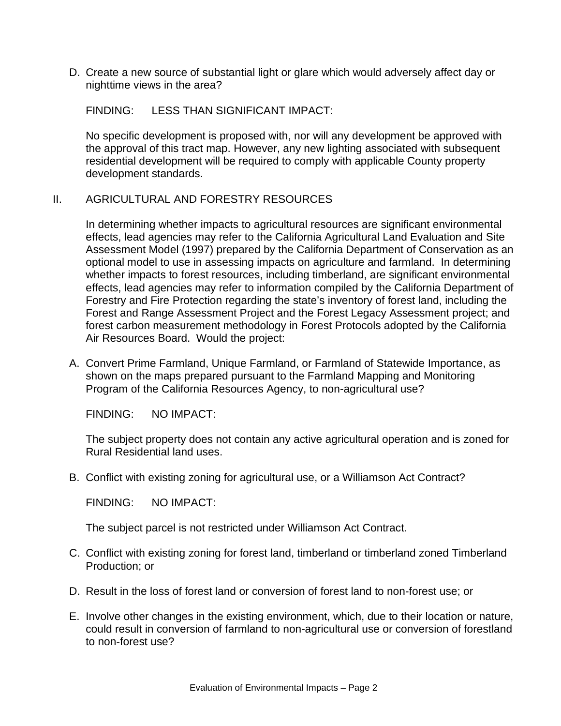D. Create a new source of substantial light or glare which would adversely affect day or nighttime views in the area?

FINDING: LESS THAN SIGNIFICANT IMPACT:

No specific development is proposed with, nor will any development be approved with the approval of this tract map. However, any new lighting associated with subsequent residential development will be required to comply with applicable County property development standards.

## II. AGRICULTURAL AND FORESTRY RESOURCES

In determining whether impacts to agricultural resources are significant environmental effects, lead agencies may refer to the California Agricultural Land Evaluation and Site Assessment Model (1997) prepared by the California Department of Conservation as an optional model to use in assessing impacts on agriculture and farmland. In determining whether impacts to forest resources, including timberland, are significant environmental effects, lead agencies may refer to information compiled by the California Department of Forestry and Fire Protection regarding the state's inventory of forest land, including the Forest and Range Assessment Project and the Forest Legacy Assessment project; and forest carbon measurement methodology in Forest Protocols adopted by the California Air Resources Board. Would the project:

A. Convert Prime Farmland, Unique Farmland, or Farmland of Statewide Importance, as shown on the maps prepared pursuant to the Farmland Mapping and Monitoring Program of the California Resources Agency, to non-agricultural use?

FINDING: NO IMPACT:

The subject property does not contain any active agricultural operation and is zoned for Rural Residential land uses.

B. Conflict with existing zoning for agricultural use, or a Williamson Act Contract?

FINDING: NO IMPACT:

The subject parcel is not restricted under Williamson Act Contract.

- C. Conflict with existing zoning for forest land, timberland or timberland zoned Timberland Production; or
- D. Result in the loss of forest land or conversion of forest land to non-forest use; or
- E. Involve other changes in the existing environment, which, due to their location or nature, could result in conversion of farmland to non-agricultural use or conversion of forestland to non-forest use?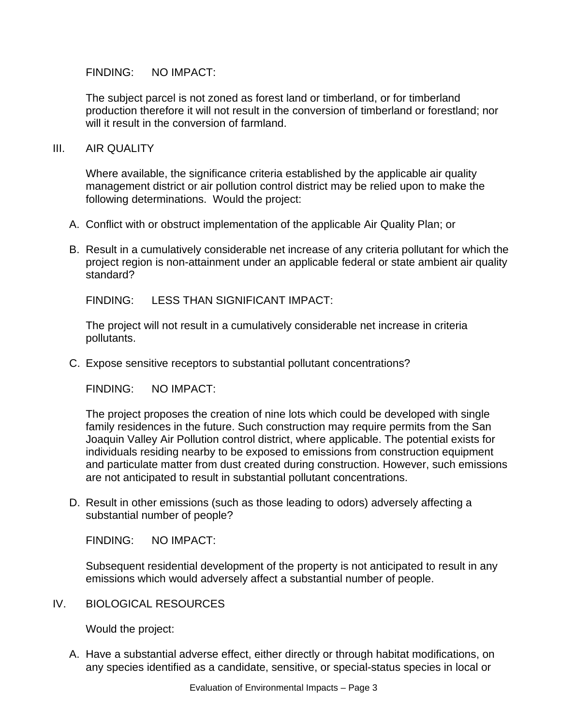The subject parcel is not zoned as forest land or timberland, or for timberland production therefore it will not result in the conversion of timberland or forestland; nor will it result in the conversion of farmland.

#### III. AIR QUALITY

Where available, the significance criteria established by the applicable air quality management district or air pollution control district may be relied upon to make the following determinations. Would the project:

- A. Conflict with or obstruct implementation of the applicable Air Quality Plan; or
- B. Result in a cumulatively considerable net increase of any criteria pollutant for which the project region is non-attainment under an applicable federal or state ambient air quality standard?

FINDING: LESS THAN SIGNIFICANT IMPACT:

The project will not result in a cumulatively considerable net increase in criteria pollutants.

C. Expose sensitive receptors to substantial pollutant concentrations?

FINDING: NO IMPACT:

The project proposes the creation of nine lots which could be developed with single family residences in the future. Such construction may require permits from the San Joaquin Valley Air Pollution control district, where applicable. The potential exists for individuals residing nearby to be exposed to emissions from construction equipment and particulate matter from dust created during construction. However, such emissions are not anticipated to result in substantial pollutant concentrations.

D. Result in other emissions (such as those leading to odors) adversely affecting a substantial number of people?

FINDING: NO IMPACT:

Subsequent residential development of the property is not anticipated to result in any emissions which would adversely affect a substantial number of people.

IV. BIOLOGICAL RESOURCES

Would the project:

A. Have a substantial adverse effect, either directly or through habitat modifications, on any species identified as a candidate, sensitive, or special-status species in local or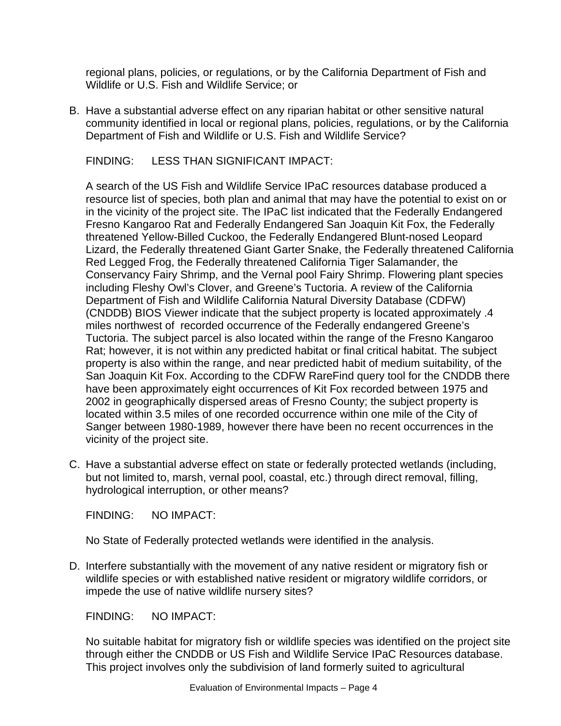regional plans, policies, or regulations, or by the California Department of Fish and Wildlife or U.S. Fish and Wildlife Service; or

B. Have a substantial adverse effect on any riparian habitat or other sensitive natural community identified in local or regional plans, policies, regulations, or by the California Department of Fish and Wildlife or U.S. Fish and Wildlife Service?

FINDING: LESS THAN SIGNIFICANT IMPACT:

A search of the US Fish and Wildlife Service IPaC resources database produced a resource list of species, both plan and animal that may have the potential to exist on or in the vicinity of the project site. The IPaC list indicated that the Federally Endangered Fresno Kangaroo Rat and Federally Endangered San Joaquin Kit Fox, the Federally threatened Yellow-Billed Cuckoo, the Federally Endangered Blunt-nosed Leopard Lizard, the Federally threatened Giant Garter Snake, the Federally threatened California Red Legged Frog, the Federally threatened California Tiger Salamander, the Conservancy Fairy Shrimp, and the Vernal pool Fairy Shrimp. Flowering plant species including Fleshy Owl's Clover, and Greene's Tuctoria. A review of the California Department of Fish and Wildlife California Natural Diversity Database (CDFW) (CNDDB) BIOS Viewer indicate that the subject property is located approximately .4 miles northwest of recorded occurrence of the Federally endangered Greene's Tuctoria. The subject parcel is also located within the range of the Fresno Kangaroo Rat; however, it is not within any predicted habitat or final critical habitat. The subject property is also within the range, and near predicted habit of medium suitability, of the San Joaquin Kit Fox. According to the CDFW RareFind query tool for the CNDDB there have been approximately eight occurrences of Kit Fox recorded between 1975 and 2002 in geographically dispersed areas of Fresno County; the subject property is located within 3.5 miles of one recorded occurrence within one mile of the City of Sanger between 1980-1989, however there have been no recent occurrences in the vicinity of the project site.

C. Have a substantial adverse effect on state or federally protected wetlands (including, but not limited to, marsh, vernal pool, coastal, etc.) through direct removal, filling, hydrological interruption, or other means?

FINDING: NO IMPACT:

No State of Federally protected wetlands were identified in the analysis.

D. Interfere substantially with the movement of any native resident or migratory fish or wildlife species or with established native resident or migratory wildlife corridors, or impede the use of native wildlife nursery sites?

FINDING: NO IMPACT:

No suitable habitat for migratory fish or wildlife species was identified on the project site through either the CNDDB or US Fish and Wildlife Service IPaC Resources database. This project involves only the subdivision of land formerly suited to agricultural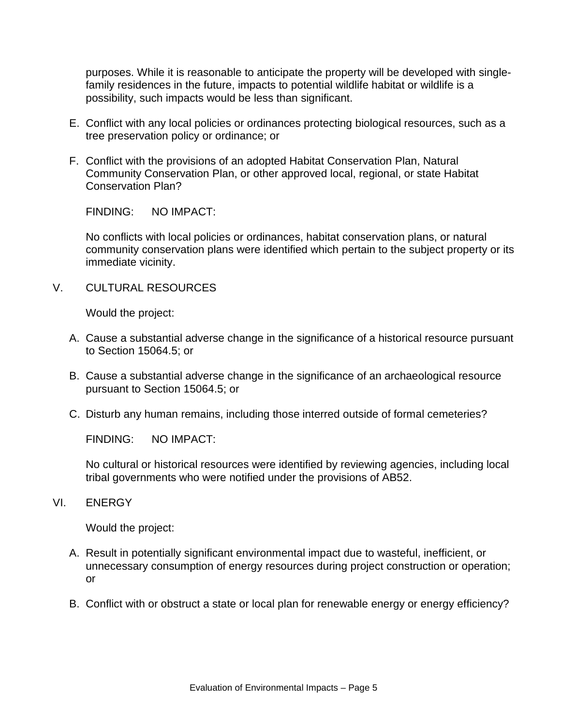purposes. While it is reasonable to anticipate the property will be developed with singlefamily residences in the future, impacts to potential wildlife habitat or wildlife is a possibility, such impacts would be less than significant.

- E. Conflict with any local policies or ordinances protecting biological resources, such as a tree preservation policy or ordinance; or
- F. Conflict with the provisions of an adopted Habitat Conservation Plan, Natural Community Conservation Plan, or other approved local, regional, or state Habitat Conservation Plan?

FINDING: NO IMPACT:

No conflicts with local policies or ordinances, habitat conservation plans, or natural community conservation plans were identified which pertain to the subject property or its immediate vicinity.

V. CULTURAL RESOURCES

Would the project:

- A. Cause a substantial adverse change in the significance of a historical resource pursuant to Section 15064.5; or
- B. Cause a substantial adverse change in the significance of an archaeological resource pursuant to Section 15064.5; or
- C. Disturb any human remains, including those interred outside of formal cemeteries?

FINDING: NO IMPACT:

No cultural or historical resources were identified by reviewing agencies, including local tribal governments who were notified under the provisions of AB52.

VI. ENERGY

Would the project:

- A. Result in potentially significant environmental impact due to wasteful, inefficient, or unnecessary consumption of energy resources during project construction or operation; or
- B. Conflict with or obstruct a state or local plan for renewable energy or energy efficiency?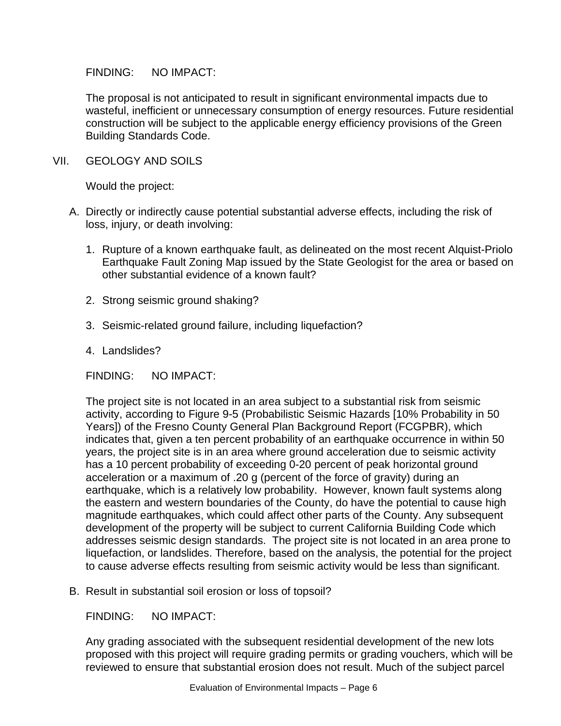The proposal is not anticipated to result in significant environmental impacts due to wasteful, inefficient or unnecessary consumption of energy resources. Future residential construction will be subject to the applicable energy efficiency provisions of the Green Building Standards Code.

VII. GEOLOGY AND SOILS

Would the project:

- A. Directly or indirectly cause potential substantial adverse effects, including the risk of loss, injury, or death involving:
	- 1. Rupture of a known earthquake fault, as delineated on the most recent Alquist-Priolo Earthquake Fault Zoning Map issued by the State Geologist for the area or based on other substantial evidence of a known fault?
	- 2. Strong seismic ground shaking?
	- 3. Seismic-related ground failure, including liquefaction?
	- 4. Landslides?

FINDING: NO IMPACT:

The project site is not located in an area subject to a substantial risk from seismic activity, according to Figure 9-5 (Probabilistic Seismic Hazards [10% Probability in 50 Years]) of the Fresno County General Plan Background Report (FCGPBR), which indicates that, given a ten percent probability of an earthquake occurrence in within 50 years, the project site is in an area where ground acceleration due to seismic activity has a 10 percent probability of exceeding 0-20 percent of peak horizontal ground acceleration or a maximum of .20 g (percent of the force of gravity) during an earthquake, which is a relatively low probability. However, known fault systems along the eastern and western boundaries of the County, do have the potential to cause high magnitude earthquakes, which could affect other parts of the County. Any subsequent development of the property will be subject to current California Building Code which addresses seismic design standards. The project site is not located in an area prone to liquefaction, or landslides. Therefore, based on the analysis, the potential for the project to cause adverse effects resulting from seismic activity would be less than significant.

B. Result in substantial soil erosion or loss of topsoil?

FINDING: NO IMPACT:

Any grading associated with the subsequent residential development of the new lots proposed with this project will require grading permits or grading vouchers, which will be reviewed to ensure that substantial erosion does not result. Much of the subject parcel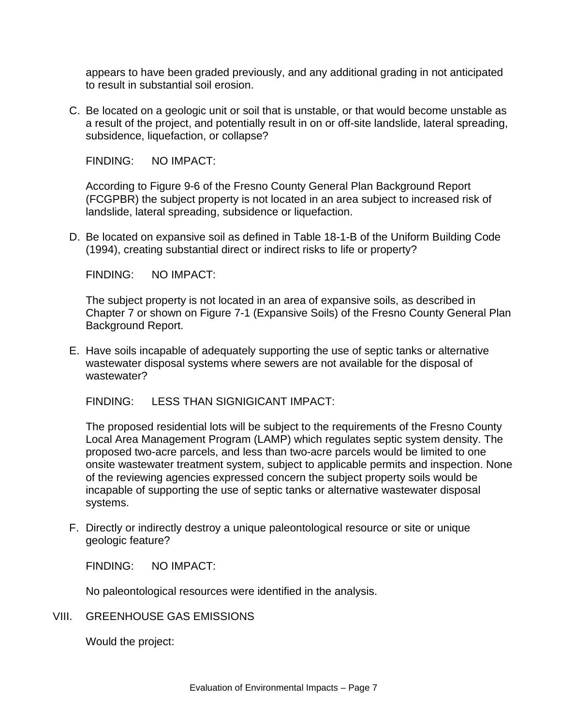appears to have been graded previously, and any additional grading in not anticipated to result in substantial soil erosion.

C. Be located on a geologic unit or soil that is unstable, or that would become unstable as a result of the project, and potentially result in on or off-site landslide, lateral spreading, subsidence, liquefaction, or collapse?

FINDING: NO IMPACT:

According to Figure 9-6 of the Fresno County General Plan Background Report (FCGPBR) the subject property is not located in an area subject to increased risk of landslide, lateral spreading, subsidence or liquefaction.

D. Be located on expansive soil as defined in Table 18-1-B of the Uniform Building Code (1994), creating substantial direct or indirect risks to life or property?

FINDING: NO IMPACT:

The subject property is not located in an area of expansive soils, as described in Chapter 7 or shown on Figure 7-1 (Expansive Soils) of the Fresno County General Plan Background Report.

E. Have soils incapable of adequately supporting the use of septic tanks or alternative wastewater disposal systems where sewers are not available for the disposal of wastewater?

FINDING: LESS THAN SIGNIGICANT IMPACT:

The proposed residential lots will be subject to the requirements of the Fresno County Local Area Management Program (LAMP) which regulates septic system density. The proposed two-acre parcels, and less than two-acre parcels would be limited to one onsite wastewater treatment system, subject to applicable permits and inspection. None of the reviewing agencies expressed concern the subject property soils would be incapable of supporting the use of septic tanks or alternative wastewater disposal systems.

F. Directly or indirectly destroy a unique paleontological resource or site or unique geologic feature?

FINDING: NO IMPACT:

No paleontological resources were identified in the analysis.

VIII. GREENHOUSE GAS EMISSIONS

Would the project: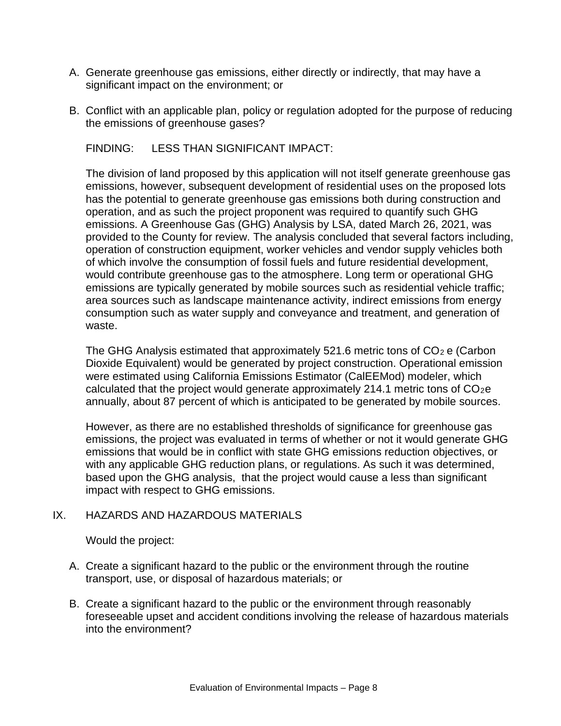- A. Generate greenhouse gas emissions, either directly or indirectly, that may have a significant impact on the environment; or
- B. Conflict with an applicable plan, policy or regulation adopted for the purpose of reducing the emissions of greenhouse gases?

FINDING: LESS THAN SIGNIFICANT IMPACT:

The division of land proposed by this application will not itself generate greenhouse gas emissions, however, subsequent development of residential uses on the proposed lots has the potential to generate greenhouse gas emissions both during construction and operation, and as such the project proponent was required to quantify such GHG emissions. A Greenhouse Gas (GHG) Analysis by LSA, dated March 26, 2021, was provided to the County for review. The analysis concluded that several factors including, operation of construction equipment, worker vehicles and vendor supply vehicles both of which involve the consumption of fossil fuels and future residential development, would contribute greenhouse gas to the atmosphere. Long term or operational GHG emissions are typically generated by mobile sources such as residential vehicle traffic; area sources such as landscape maintenance activity, indirect emissions from energy consumption such as water supply and conveyance and treatment, and generation of waste.

The GHG Analysis estimated that approximately 521.6 metric tons of  $CO<sub>2</sub>$  e (Carbon Dioxide Equivalent) would be generated by project construction. Operational emission were estimated using California Emissions Estimator (CalEEMod) modeler, which calculated that the project would generate approximately 214.1 metric tons of  $CO<sub>2</sub>e$ annually, about 87 percent of which is anticipated to be generated by mobile sources.

However, as there are no established thresholds of significance for greenhouse gas emissions, the project was evaluated in terms of whether or not it would generate GHG emissions that would be in conflict with state GHG emissions reduction objectives, or with any applicable GHG reduction plans, or regulations. As such it was determined, based upon the GHG analysis, that the project would cause a less than significant impact with respect to GHG emissions.

# IX. HAZARDS AND HAZARDOUS MATERIALS

Would the project:

- A. Create a significant hazard to the public or the environment through the routine transport, use, or disposal of hazardous materials; or
- B. Create a significant hazard to the public or the environment through reasonably foreseeable upset and accident conditions involving the release of hazardous materials into the environment?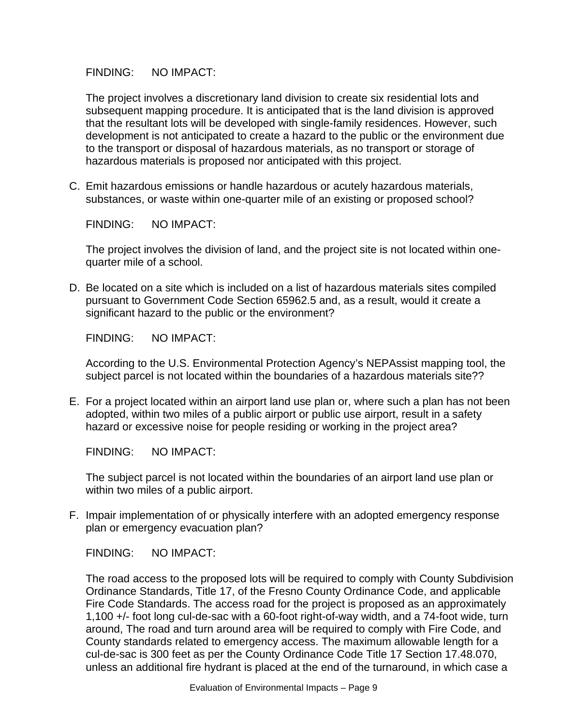The project involves a discretionary land division to create six residential lots and subsequent mapping procedure. It is anticipated that is the land division is approved that the resultant lots will be developed with single-family residences. However, such development is not anticipated to create a hazard to the public or the environment due to the transport or disposal of hazardous materials, as no transport or storage of hazardous materials is proposed nor anticipated with this project.

C. Emit hazardous emissions or handle hazardous or acutely hazardous materials, substances, or waste within one-quarter mile of an existing or proposed school?

FINDING: NO IMPACT:

The project involves the division of land, and the project site is not located within onequarter mile of a school.

D. Be located on a site which is included on a list of hazardous materials sites compiled pursuant to Government Code Section 65962.5 and, as a result, would it create a significant hazard to the public or the environment?

FINDING: NO IMPACT:

According to the U.S. Environmental Protection Agency's NEPAssist mapping tool, the subject parcel is not located within the boundaries of a hazardous materials site??

E. For a project located within an airport land use plan or, where such a plan has not been adopted, within two miles of a public airport or public use airport, result in a safety hazard or excessive noise for people residing or working in the project area?

FINDING: NO IMPACT:

The subject parcel is not located within the boundaries of an airport land use plan or within two miles of a public airport.

F. Impair implementation of or physically interfere with an adopted emergency response plan or emergency evacuation plan?

FINDING: NO IMPACT:

The road access to the proposed lots will be required to comply with County Subdivision Ordinance Standards, Title 17, of the Fresno County Ordinance Code, and applicable Fire Code Standards. The access road for the project is proposed as an approximately 1,100 +/- foot long cul-de-sac with a 60-foot right-of-way width, and a 74-foot wide, turn around, The road and turn around area will be required to comply with Fire Code, and County standards related to emergency access. The maximum allowable length for a cul-de-sac is 300 feet as per the County Ordinance Code Title 17 Section 17.48.070, unless an additional fire hydrant is placed at the end of the turnaround, in which case a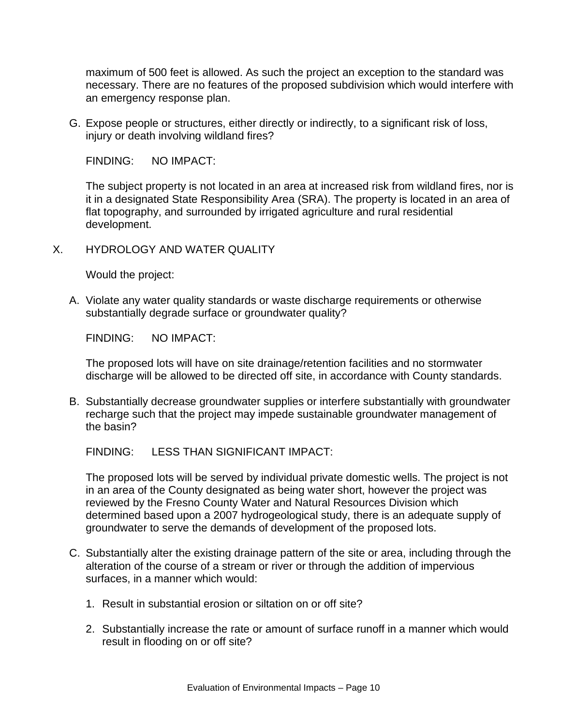maximum of 500 feet is allowed. As such the project an exception to the standard was necessary. There are no features of the proposed subdivision which would interfere with an emergency response plan.

G. Expose people or structures, either directly or indirectly, to a significant risk of loss, injury or death involving wildland fires?

FINDING: NO IMPACT:

The subject property is not located in an area at increased risk from wildland fires, nor is it in a designated State Responsibility Area (SRA). The property is located in an area of flat topography, and surrounded by irrigated agriculture and rural residential development.

X. HYDROLOGY AND WATER QUALITY

Would the project:

A. Violate any water quality standards or waste discharge requirements or otherwise substantially degrade surface or groundwater quality?

FINDING: NO IMPACT:

The proposed lots will have on site drainage/retention facilities and no stormwater discharge will be allowed to be directed off site, in accordance with County standards.

B. Substantially decrease groundwater supplies or interfere substantially with groundwater recharge such that the project may impede sustainable groundwater management of the basin?

FINDING: LESS THAN SIGNIFICANT IMPACT:

The proposed lots will be served by individual private domestic wells. The project is not in an area of the County designated as being water short, however the project was reviewed by the Fresno County Water and Natural Resources Division which determined based upon a 2007 hydrogeological study, there is an adequate supply of groundwater to serve the demands of development of the proposed lots.

- C. Substantially alter the existing drainage pattern of the site or area, including through the alteration of the course of a stream or river or through the addition of impervious surfaces, in a manner which would:
	- 1. Result in substantial erosion or siltation on or off site?
	- 2. Substantially increase the rate or amount of surface runoff in a manner which would result in flooding on or off site?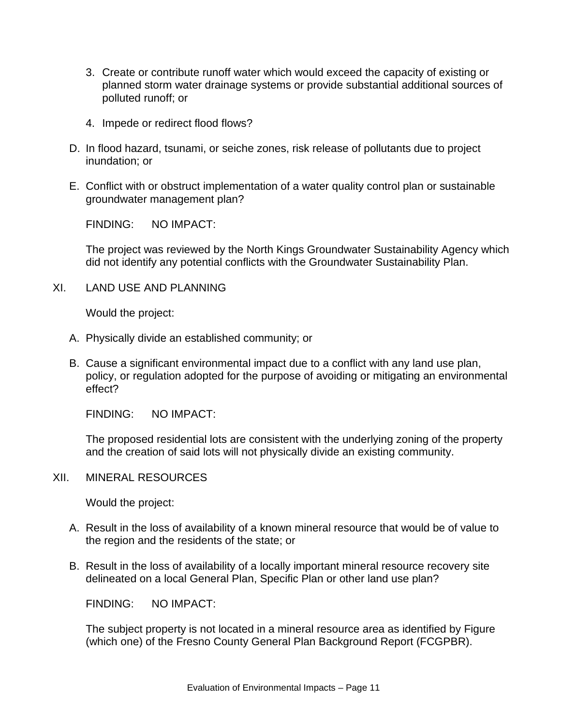- 3. Create or contribute runoff water which would exceed the capacity of existing or planned storm water drainage systems or provide substantial additional sources of polluted runoff; or
- 4. Impede or redirect flood flows?
- D. In flood hazard, tsunami, or seiche zones, risk release of pollutants due to project inundation; or
- E. Conflict with or obstruct implementation of a water quality control plan or sustainable groundwater management plan?

The project was reviewed by the North Kings Groundwater Sustainability Agency which did not identify any potential conflicts with the Groundwater Sustainability Plan.

XI. LAND USE AND PLANNING

Would the project:

- A. Physically divide an established community; or
- B. Cause a significant environmental impact due to a conflict with any land use plan, policy, or regulation adopted for the purpose of avoiding or mitigating an environmental effect?

FINDING: NO IMPACT:

The proposed residential lots are consistent with the underlying zoning of the property and the creation of said lots will not physically divide an existing community.

XII. MINERAL RESOURCES

Would the project:

- A. Result in the loss of availability of a known mineral resource that would be of value to the region and the residents of the state; or
- B. Result in the loss of availability of a locally important mineral resource recovery site delineated on a local General Plan, Specific Plan or other land use plan?

FINDING: NO IMPACT:

The subject property is not located in a mineral resource area as identified by Figure (which one) of the Fresno County General Plan Background Report (FCGPBR).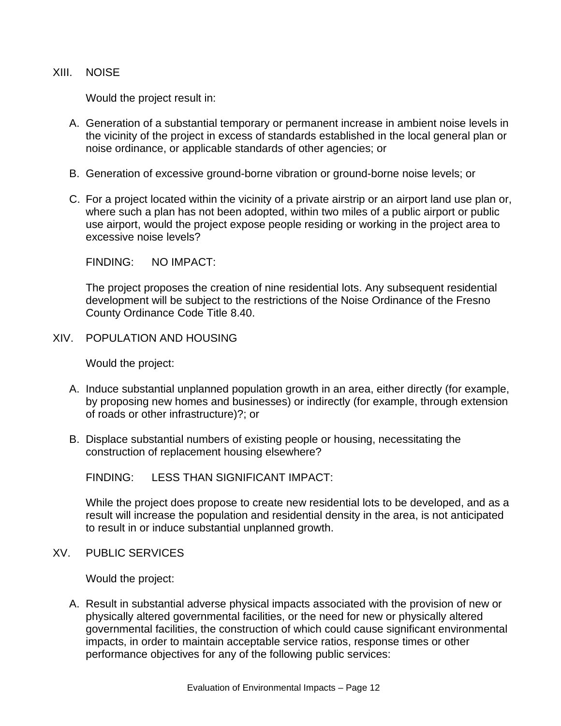#### XIII. NOISE

Would the project result in:

- A. Generation of a substantial temporary or permanent increase in ambient noise levels in the vicinity of the project in excess of standards established in the local general plan or noise ordinance, or applicable standards of other agencies; or
- B. Generation of excessive ground-borne vibration or ground-borne noise levels; or
- C. For a project located within the vicinity of a private airstrip or an airport land use plan or, where such a plan has not been adopted, within two miles of a public airport or public use airport, would the project expose people residing or working in the project area to excessive noise levels?

FINDING: NO IMPACT:

The project proposes the creation of nine residential lots. Any subsequent residential development will be subject to the restrictions of the Noise Ordinance of the Fresno County Ordinance Code Title 8.40.

XIV. POPULATION AND HOUSING

Would the project:

- A. Induce substantial unplanned population growth in an area, either directly (for example, by proposing new homes and businesses) or indirectly (for example, through extension of roads or other infrastructure)?; or
- B. Displace substantial numbers of existing people or housing, necessitating the construction of replacement housing elsewhere?

FINDING: LESS THAN SIGNIFICANT IMPACT:

While the project does propose to create new residential lots to be developed, and as a result will increase the population and residential density in the area, is not anticipated to result in or induce substantial unplanned growth.

XV. PUBLIC SERVICES

Would the project:

A. Result in substantial adverse physical impacts associated with the provision of new or physically altered governmental facilities, or the need for new or physically altered governmental facilities, the construction of which could cause significant environmental impacts, in order to maintain acceptable service ratios, response times or other performance objectives for any of the following public services: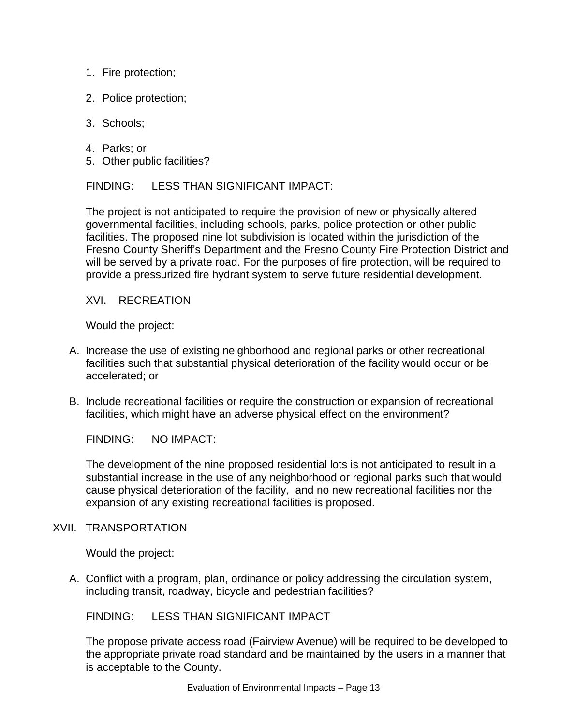- 1. Fire protection;
- 2. Police protection;
- 3. Schools;
- 4. Parks; or
- 5. Other public facilities?

FINDING: LESS THAN SIGNIFICANT IMPACT:

The project is not anticipated to require the provision of new or physically altered governmental facilities, including schools, parks, police protection or other public facilities. The proposed nine lot subdivision is located within the jurisdiction of the Fresno County Sheriff's Department and the Fresno County Fire Protection District and will be served by a private road. For the purposes of fire protection, will be required to provide a pressurized fire hydrant system to serve future residential development.

XVI. RECREATION

Would the project:

- A. Increase the use of existing neighborhood and regional parks or other recreational facilities such that substantial physical deterioration of the facility would occur or be accelerated; or
- B. Include recreational facilities or require the construction or expansion of recreational facilities, which might have an adverse physical effect on the environment?

FINDING: NO IMPACT:

The development of the nine proposed residential lots is not anticipated to result in a substantial increase in the use of any neighborhood or regional parks such that would cause physical deterioration of the facility, and no new recreational facilities nor the expansion of any existing recreational facilities is proposed.

# XVII. TRANSPORTATION

Would the project:

A. Conflict with a program, plan, ordinance or policy addressing the circulation system, including transit, roadway, bicycle and pedestrian facilities?

FINDING: LESS THAN SIGNIFICANT IMPACT

The propose private access road (Fairview Avenue) will be required to be developed to the appropriate private road standard and be maintained by the users in a manner that is acceptable to the County.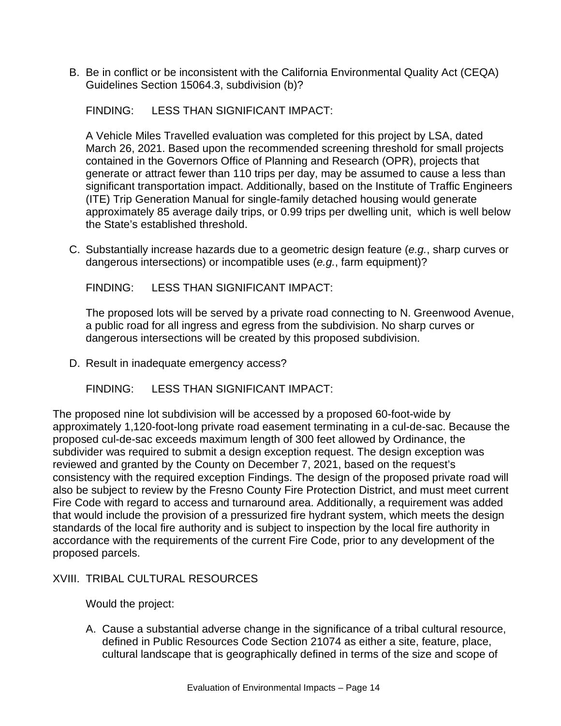B. Be in conflict or be inconsistent with the California Environmental Quality Act (CEQA) Guidelines Section 15064.3, subdivision (b)?

FINDING: LESS THAN SIGNIFICANT IMPACT:

A Vehicle Miles Travelled evaluation was completed for this project by LSA, dated March 26, 2021. Based upon the recommended screening threshold for small projects contained in the Governors Office of Planning and Research (OPR), projects that generate or attract fewer than 110 trips per day, may be assumed to cause a less than significant transportation impact. Additionally, based on the Institute of Traffic Engineers (ITE) Trip Generation Manual for single-family detached housing would generate approximately 85 average daily trips, or 0.99 trips per dwelling unit, which is well below the State's established threshold.

C. Substantially increase hazards due to a geometric design feature (*e.g.*, sharp curves or dangerous intersections) or incompatible uses (*e.g.*, farm equipment)?

FINDING: LESS THAN SIGNIFICANT IMPACT:

The proposed lots will be served by a private road connecting to N. Greenwood Avenue, a public road for all ingress and egress from the subdivision. No sharp curves or dangerous intersections will be created by this proposed subdivision.

D. Result in inadequate emergency access?

FINDING: LESS THAN SIGNIFICANT IMPACT:

The proposed nine lot subdivision will be accessed by a proposed 60-foot-wide by approximately 1,120-foot-long private road easement terminating in a cul-de-sac. Because the proposed cul-de-sac exceeds maximum length of 300 feet allowed by Ordinance, the subdivider was required to submit a design exception request. The design exception was reviewed and granted by the County on December 7, 2021, based on the request's consistency with the required exception Findings. The design of the proposed private road will also be subject to review by the Fresno County Fire Protection District, and must meet current Fire Code with regard to access and turnaround area. Additionally, a requirement was added that would include the provision of a pressurized fire hydrant system, which meets the design standards of the local fire authority and is subject to inspection by the local fire authority in accordance with the requirements of the current Fire Code, prior to any development of the proposed parcels.

# XVIII. TRIBAL CULTURAL RESOURCES

Would the project:

A. Cause a substantial adverse change in the significance of a tribal cultural resource, defined in Public Resources Code Section 21074 as either a site, feature, place, cultural landscape that is geographically defined in terms of the size and scope of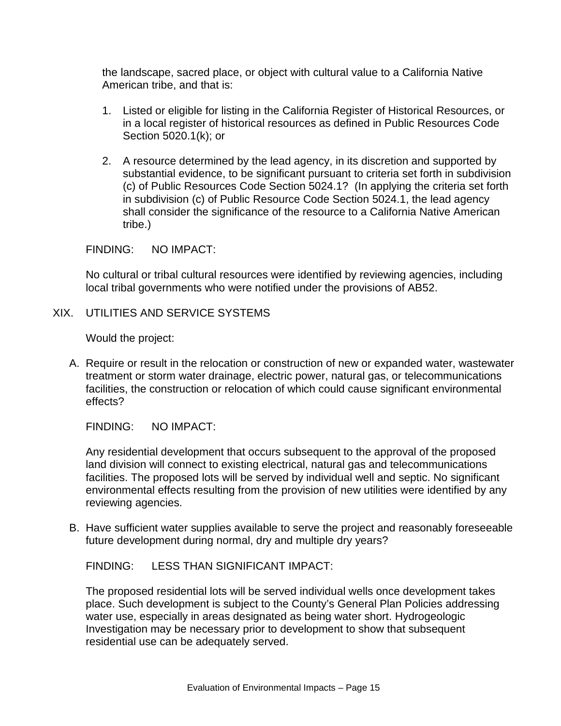the landscape, sacred place, or object with cultural value to a California Native American tribe, and that is:

- 1. Listed or eligible for listing in the California Register of Historical Resources, or in a local register of historical resources as defined in Public Resources Code Section 5020.1(k); or
- 2. A resource determined by the lead agency, in its discretion and supported by substantial evidence, to be significant pursuant to criteria set forth in subdivision (c) of Public Resources Code Section 5024.1? (In applying the criteria set forth in subdivision (c) of Public Resource Code Section 5024.1, the lead agency shall consider the significance of the resource to a California Native American tribe.)

FINDING: NO IMPACT:

No cultural or tribal cultural resources were identified by reviewing agencies, including local tribal governments who were notified under the provisions of AB52.

XIX. UTILITIES AND SERVICE SYSTEMS

Would the project:

A. Require or result in the relocation or construction of new or expanded water, wastewater treatment or storm water drainage, electric power, natural gas, or telecommunications facilities, the construction or relocation of which could cause significant environmental effects?

FINDING: NO IMPACT:

Any residential development that occurs subsequent to the approval of the proposed land division will connect to existing electrical, natural gas and telecommunications facilities. The proposed lots will be served by individual well and septic. No significant environmental effects resulting from the provision of new utilities were identified by any reviewing agencies.

B. Have sufficient water supplies available to serve the project and reasonably foreseeable future development during normal, dry and multiple dry years?

FINDING: LESS THAN SIGNIFICANT IMPACT:

The proposed residential lots will be served individual wells once development takes place. Such development is subject to the County's General Plan Policies addressing water use, especially in areas designated as being water short. Hydrogeologic Investigation may be necessary prior to development to show that subsequent residential use can be adequately served.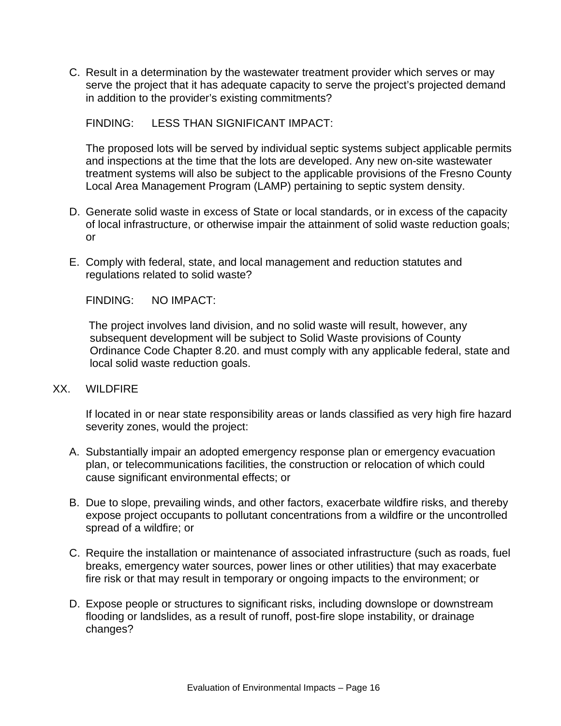C. Result in a determination by the wastewater treatment provider which serves or may serve the project that it has adequate capacity to serve the project's projected demand in addition to the provider's existing commitments?

FINDING: LESS THAN SIGNIFICANT IMPACT:

The proposed lots will be served by individual septic systems subject applicable permits and inspections at the time that the lots are developed. Any new on-site wastewater treatment systems will also be subject to the applicable provisions of the Fresno County Local Area Management Program (LAMP) pertaining to septic system density.

- D. Generate solid waste in excess of State or local standards, or in excess of the capacity of local infrastructure, or otherwise impair the attainment of solid waste reduction goals; or
- E. Comply with federal, state, and local management and reduction statutes and regulations related to solid waste?

FINDING: NO IMPACT:

The project involves land division, and no solid waste will result, however, any subsequent development will be subject to Solid Waste provisions of County Ordinance Code Chapter 8.20. and must comply with any applicable federal, state and local solid waste reduction goals.

#### XX. WILDFIRE

If located in or near state responsibility areas or lands classified as very high fire hazard severity zones, would the project:

- A. Substantially impair an adopted emergency response plan or emergency evacuation plan, or telecommunications facilities, the construction or relocation of which could cause significant environmental effects; or
- B. Due to slope, prevailing winds, and other factors, exacerbate wildfire risks, and thereby expose project occupants to pollutant concentrations from a wildfire or the uncontrolled spread of a wildfire; or
- C. Require the installation or maintenance of associated infrastructure (such as roads, fuel breaks, emergency water sources, power lines or other utilities) that may exacerbate fire risk or that may result in temporary or ongoing impacts to the environment; or
- D. Expose people or structures to significant risks, including downslope or downstream flooding or landslides, as a result of runoff, post-fire slope instability, or drainage changes?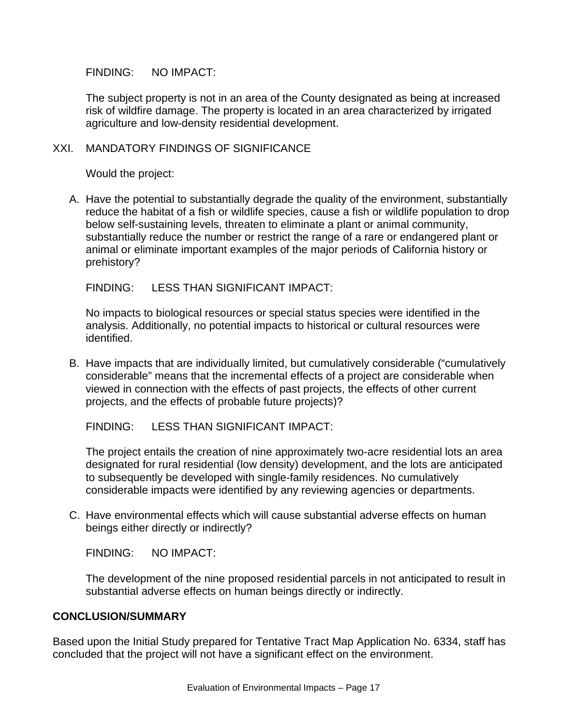The subject property is not in an area of the County designated as being at increased risk of wildfire damage. The property is located in an area characterized by irrigated agriculture and low-density residential development.

## XXI. MANDATORY FINDINGS OF SIGNIFICANCE

Would the project:

A. Have the potential to substantially degrade the quality of the environment, substantially reduce the habitat of a fish or wildlife species, cause a fish or wildlife population to drop below self-sustaining levels, threaten to eliminate a plant or animal community, substantially reduce the number or restrict the range of a rare or endangered plant or animal or eliminate important examples of the major periods of California history or prehistory?

FINDING: LESS THAN SIGNIFICANT IMPACT:

No impacts to biological resources or special status species were identified in the analysis. Additionally, no potential impacts to historical or cultural resources were identified.

B. Have impacts that are individually limited, but cumulatively considerable ("cumulatively considerable" means that the incremental effects of a project are considerable when viewed in connection with the effects of past projects, the effects of other current projects, and the effects of probable future projects)?

FINDING: LESS THAN SIGNIFICANT IMPACT:

The project entails the creation of nine approximately two-acre residential lots an area designated for rural residential (low density) development, and the lots are anticipated to subsequently be developed with single-family residences. No cumulatively considerable impacts were identified by any reviewing agencies or departments.

C. Have environmental effects which will cause substantial adverse effects on human beings either directly or indirectly?

FINDING: NO IMPACT:

The development of the nine proposed residential parcels in not anticipated to result in substantial adverse effects on human beings directly or indirectly.

# **CONCLUSION/SUMMARY**

Based upon the Initial Study prepared for Tentative Tract Map Application No. 6334, staff has concluded that the project will not have a significant effect on the environment.